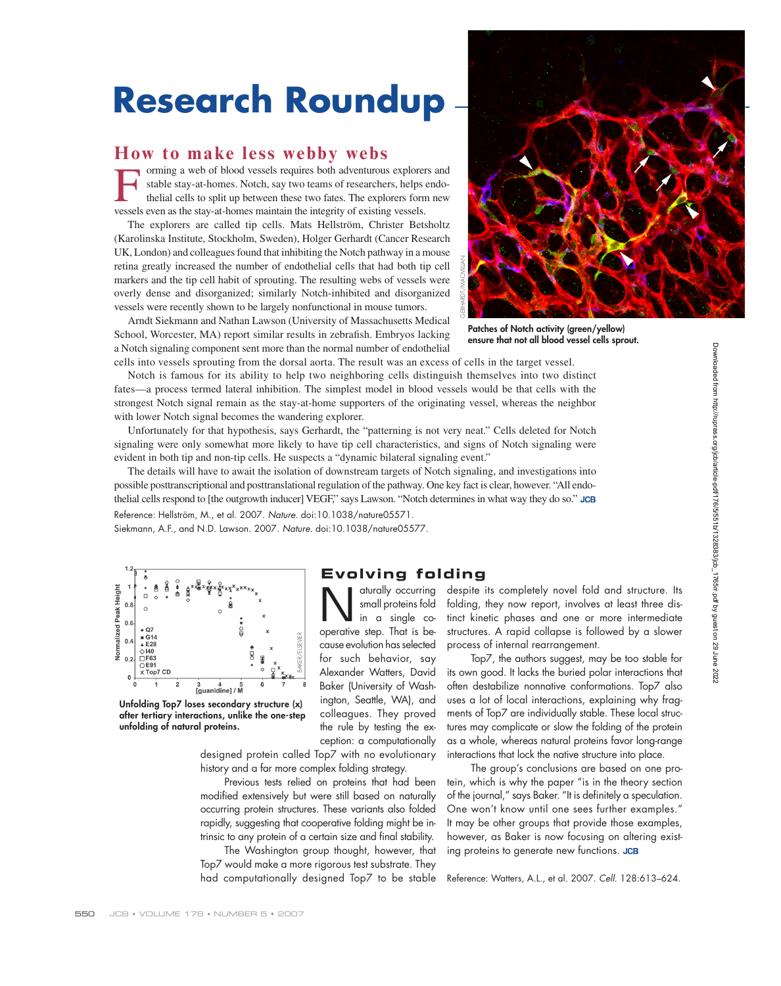# **Research Roundup**

### **How to make less webby webs**

Forming a web of blood vessels requires both adventurous explorers and stable stay-at-homes. Notch, say two teams of researchers, helps endo-<br>thelial cells to split up between these two fates. The explorers form new<br>vessel stable stay-at-homes. Notch, say two teams of researchers, helps endothelial cells to split up between these two fates. The explorers form new vessels even as the stay-at-homes maintain the integrity of existing vessels.

The explorers are called tip cells. Mats Hellström, Christer Betsholtz (Karolinska Institute, Stockholm, Sweden), Holger Gerhardt (Cancer Research UK, London) and colleagues found that inhibiting the Notch pathway in a mouse retina greatly increased the number of endothelial cells that had both tip cell markers and the tip cell habit of sprouting. The resulting webs of vessels were overly dense and disorganized; similarly Notch-inhibited and disorganized vessels were recently shown to be largely nonfunctional in mouse tumors.

Arndt Siekmann and Nathan Lawson (University of Massachusetts Medical School, Worcester, MA) report similar results in zebrafish. Embryos lacking a Notch signaling component sent more than the normal number of endothelial



**Patches of Notch activity (green/yellow) ensure that not all blood vessel cells sprout.**

cells into vessels sprouting from the dorsal aorta. The result was an excess of cells in the target vessel. Notch is famous for its ability to help two neighboring cells distinguish themselves into two distinct fates—a process termed lateral inhibition. The simplest model in blood vessels would be that cells with the strongest Notch signal remain as the stay-at-home supporters of the originating vessel, whereas the neighbor with lower Notch signal becomes the wandering explorer.

Unfortunately for that hypothesis, says Gerhardt, the "patterning is not very neat." Cells deleted for Notch signaling were only somewhat more likely to have tip cell characteristics, and signs of Notch signaling were evident in both tip and non-tip cells. He suspects a "dynamic bilateral signaling event."

The details will have to await the isolation of downstream targets of Notch signaling, and investigations into possible posttranscriptional and posttranslational regulation of the pathway. One key fact is clear, however. "All endothe lial cells respond to [the outgrowth inducer] VEGF," says Lawson. "Notch determines in what way they do so." JCB

Reference: Hellström, M., et al. 2007. Nature. doi:10.1038/nature05571. Siekmann, A.F., and N.D. Lawson. 2007. Nature. doi:10.1038/nature05577.



**Unfolding Top7 loses secondary structure (x) after tertiary interactions, unlike the one-step unfolding of natural proteins.**

designed protein called Top7 with no evolutionary history and a far more complex folding strategy.

Previous tests relied on proteins that had been modified extensively but were still based on naturally occurring protein structures. These variants also folded rapidly, suggesting that cooperative folding might be intrinsic to any protein of a certain size and final stability.

The Washington group thought, however, that Top7 would make a more rigorous test substrate. They had computationally designed Top7 to be stable

#### **Evolving folding**

Alex ander Watters, David Baker (University of Washington, Seattle, WA), and colleagues. They proved the rule by testing the exception: a computationally

Naturally occurring<br>
in a single co-<br>
concretive step. That is be small proteins fold operative step. That is because evolution has selected for such behavior, say despite its completely novel fold and structure. Its folding, they now report, involves at least three distinct kinetic phases and one or more intermediate structures. A rapid collapse is followed by a slower process of internal rearrangement. Top7, the authors suggest, may be too stable for

its own good. It lacks the buried polar interactions that often destabilize nonnative conformations. Top7 also uses a lot of local interactions, explaining why fragments of Top7 are individually stable. These local structures may complicate or slow the folding of the protein as a whole, whereas natural proteins favor long-range interactions that lock the native structure into place.

The group's conclusions are based on one protein, which is why the paper "is in the theory section of the journal," says Baker. "It is definitely a speculation. One won't know until one sees further examples." It may be other groups that provide those examples, however, as Baker is now focusing on altering existing proteins to generate new functions. JCB

Reference: Watters, A.L., et al. 2007. Cell. 128:613–624.